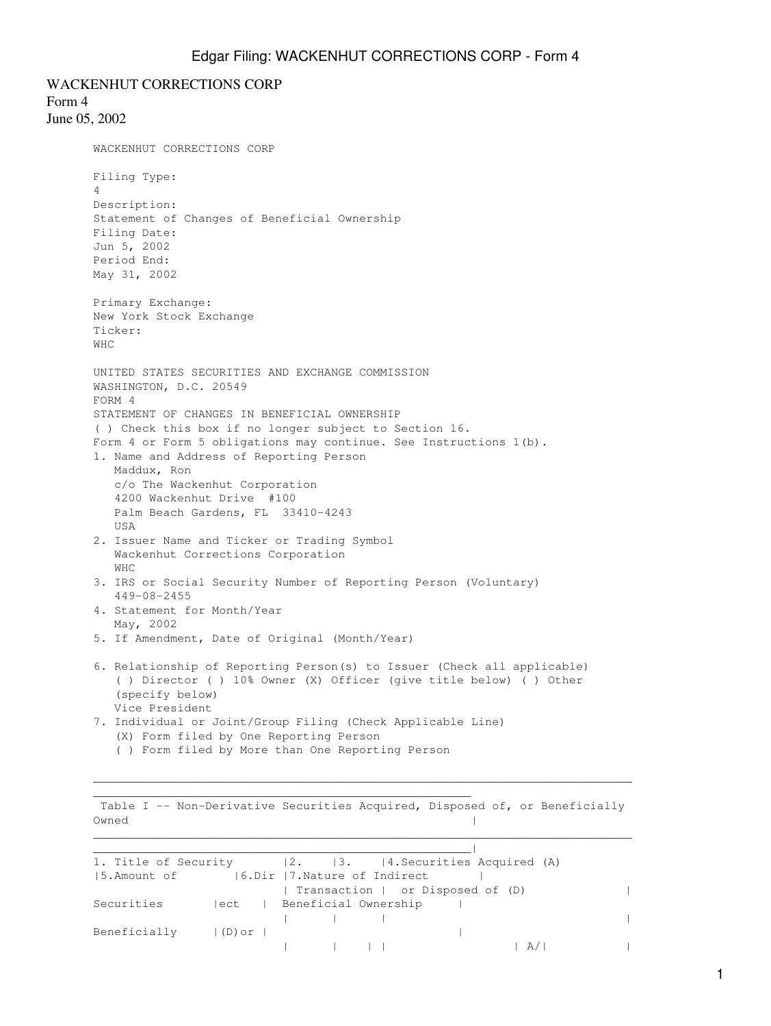WACKENHUT CORRECTIONS CORP Form 4 June 05, 2002 WACKENHUT CORRECTIONS CORP Filing Type: 4 Description: Statement of Changes of Beneficial Ownership Filing Date: Jun 5, 2002 Period End: May 31, 2002 Primary Exchange: New York Stock Exchange Ticker: WHC UNITED STATES SECURITIES AND EXCHANGE COMMISSION WASHINGTON, D.C. 20549 FORM 4 STATEMENT OF CHANGES IN BENEFICIAL OWNERSHIP ( ) Check this box if no longer subject to Section 16. Form 4 or Form 5 obligations may continue. See Instructions 1(b). 1. Name and Address of Reporting Person Maddux, Ron c/o The Wackenhut Corporation 4200 Wackenhut Drive #100 Palm Beach Gardens, FL 33410-4243 **IISA** 2. Issuer Name and Ticker or Trading Symbol Wackenhut Corrections Corporation WHC 3. IRS or Social Security Number of Reporting Person (Voluntary) 449-08-2455 4. Statement for Month/Year May, 2002 5. If Amendment, Date of Original (Month/Year) 6. Relationship of Reporting Person(s) to Issuer (Check all applicable) ( ) Director ( ) 10% Owner (X) Officer (give title below) ( ) Other (specify below) Vice President 7. Individual or Joint/Group Filing (Check Applicable Line) (X) Form filed by One Reporting Person ( ) Form filed by More than One Reporting Person  $\mathcal{L}_\text{max} = \frac{1}{2} \sum_{i=1}^n \mathcal{L}_\text{max} = \frac{1}{2} \sum_{i=1}^n \mathcal{L}_\text{max} = \frac{1}{2} \sum_{i=1}^n \mathcal{L}_\text{max} = \frac{1}{2} \sum_{i=1}^n \mathcal{L}_\text{max} = \frac{1}{2} \sum_{i=1}^n \mathcal{L}_\text{max} = \frac{1}{2} \sum_{i=1}^n \mathcal{L}_\text{max} = \frac{1}{2} \sum_{i=1}^n \mathcal{L}_\text{max} = \frac{1}{2} \sum_{i=$ \_\_\_\_\_\_\_\_\_\_\_\_\_\_\_\_\_\_\_\_\_\_\_\_\_\_\_\_\_\_\_\_\_\_\_\_\_\_\_\_\_\_\_\_\_\_\_\_\_\_\_\_\_\_ Table I -- Non-Derivative Securities Acquired, Disposed of, or Beneficially Owned and the contract of the contract of the contract of the contract of the contract of the contract of the contract of the contract of the contract of the contract of the contract of the contract of the contract of the

 $\overline{\phantom{a}}$  , and the contract of the contract of the contract of the contract of the contract of the contract of the contract of the contract of the contract of the contract of the contract of the contract of the contrac 1. Title of Security |2. |3. |4. Securities Acquired (A) |5.Amount of |6.Dir |7.Nature of Indirect | | Transaction | or Disposed of (D) | Securities | ect | Beneficial Ownership | | | | | Beneficially  $|(D)$  or  $|$ | | | | | A/| |

 $\mathcal{L}_\text{max} = \frac{1}{2} \sum_{i=1}^n \mathcal{L}_\text{max} = \frac{1}{2} \sum_{i=1}^n \mathcal{L}_\text{max} = \frac{1}{2} \sum_{i=1}^n \mathcal{L}_\text{max} = \frac{1}{2} \sum_{i=1}^n \mathcal{L}_\text{max} = \frac{1}{2} \sum_{i=1}^n \mathcal{L}_\text{max} = \frac{1}{2} \sum_{i=1}^n \mathcal{L}_\text{max} = \frac{1}{2} \sum_{i=1}^n \mathcal{L}_\text{max} = \frac{1}{2} \sum_{i=$